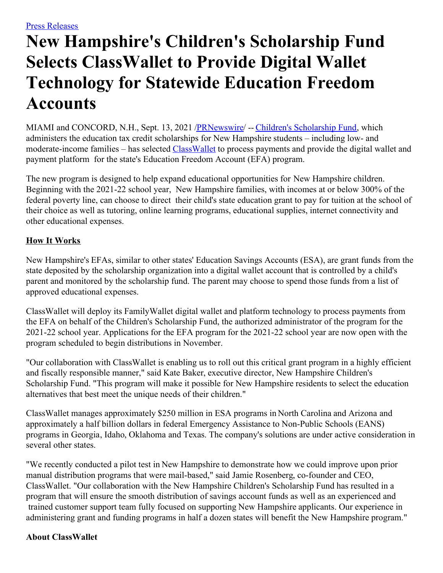## **New Hampshire's Children's Scholarship Fund Selects ClassWallet to Provide Digital Wallet Technology for Statewide Education Freedom Accounts**

MIAMI and CONCORD, N.H., Sept. 13, 2021 [/PRNewswire](http://www.prnewswire.com/)/ -- Children's [Scholarship](https://c212.net/c/link/?t=0&l=en&o=3285539-1&h=2394732992&u=https%3A%2F%2Fnh.scholarshipfund.org%2F&a=Children%27s+Scholarship+Fund) Fund, which administers the education tax credit scholarships for New Hampshire students – including low- and moderate-income families – has selected [ClassWallet](https://c212.net/c/link/?t=0&l=en&o=3285539-1&h=61394727&u=http%3A%2F%2Fwww.classwallet.com%2F&a=ClassWallet) to process payments and provide the digital wallet and payment platform for the state's Education Freedom Account (EFA) program.

The new program is designed to help expand educational opportunities for New Hampshire children. Beginning with the 2021-22 school year, New Hampshire families, with incomes at or below 300% of the federal poverty line, can choose to direct their child's state education grant to pay for tuition at the school of their choice as well as tutoring, online learning programs, educational supplies, internet connectivity and other educational expenses.

## **How It Works**

New Hampshire's EFAs, similar to other states' Education Savings Accounts (ESA), are grant funds from the state deposited by the scholarship organization into a digital wallet account that is controlled by a child's parent and monitored by the scholarship fund. The parent may choose to spend those funds from a list of approved educational expenses.

ClassWallet will deploy its FamilyWallet digital wallet and platform technology to process payments from the EFA on behalf of the Children's Scholarship Fund, the authorized administrator of the program for the 2021-22 school year. Applications for the EFA program for the 2021-22 school year are now open with the program scheduled to begin distributions in November.

"Our collaboration with ClassWallet is enabling us to roll out this critical grant program in a highly efficient and fiscally responsible manner," said Kate Baker, executive director, New Hampshire Children's Scholarship Fund. "This program will make it possible for New Hampshire residents to select the education alternatives that best meet the unique needs of their children."

ClassWallet manages approximately \$250 million in ESA programs in North Carolina and Arizona and approximately a half billion dollars in federal Emergency Assistance to Non-Public Schools (EANS) programs in Georgia, Idaho, Oklahoma and Texas. The company's solutions are under active consideration in several other states.

"We recently conducted a pilot test in New Hampshire to demonstrate how we could improve upon prior manual distribution programs that were mail-based," said Jamie Rosenberg, co-founder and CEO, ClassWallet. "Our collaboration with the New Hampshire Children's Scholarship Fund has resulted in a program that will ensure the smooth distribution of savings account funds as well as an experienced and trained customer support team fully focused on supporting New Hampshire applicants. Our experience in administering grant and funding programs in half a dozen states will benefit the New Hampshire program."

## **About ClassWallet**